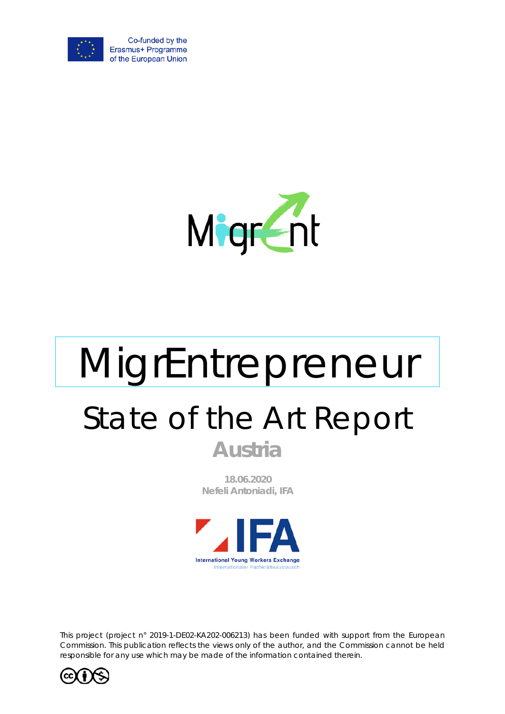



# MigrEntrepreneur State of the Art Report **Austria**

**18.06.2020 Nefeli Antoniadi, IFA**



*This project (project n° 2019-1-DE02-KA202-006213) has been funded with support from the European Commission. This publication reflects the views only of the author, and the Commission cannot be held responsible for any use which may be made of the information contained therein.*

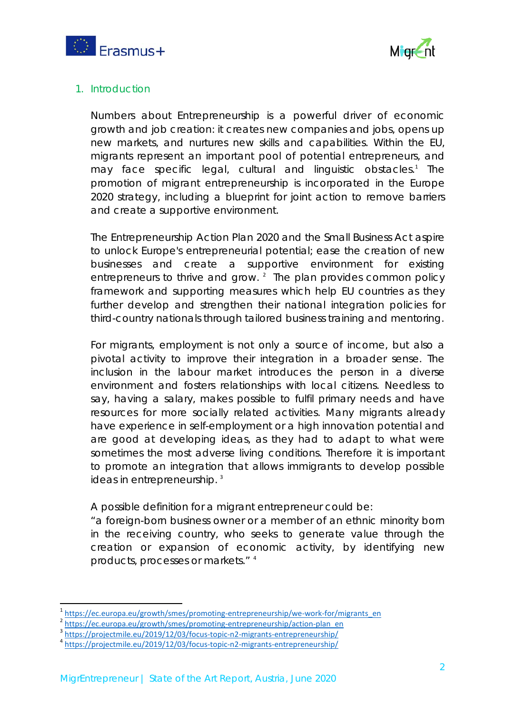



## 1. Introduction

Numbers about Entrepreneurship is a powerful driver of economic growth and job creation: it creates new companies and jobs, opens up new markets, and nurtures new skills and capabilities. Within the EU, migrants represent an important pool of potential entrepreneurs, and may face specific legal, cultural and linguistic obstacles.<sup>[1](#page-1-0)</sup> The promotion of migrant entrepreneurship is incorporated in the Europe 2020 strategy, including a blueprint for joint action to remove barriers and create a supportive environment.

The Entrepreneurship Action Plan 2020 and the Small Business Act aspire to unlock Europe's entrepreneurial potential; ease the creation of new businesses and create a supportive environment for existing entrepreneurs to thrive and grow.  $2^{\circ}$  $2^{\circ}$  The plan provides common policy framework and supporting measures which help EU countries as they further develop and strengthen their national integration policies for third-country nationals through tailored business training and mentoring.

For migrants, employment is not only a source of income, but also a pivotal activity to improve their integration in a broader sense. The inclusion in the labour market introduces the person in a diverse environment and fosters relationships with local citizens. Needless to say, having a salary, makes possible to fulfil primary needs and have resources for more socially related activities. Many migrants already have experience in self-employment or a high innovation potential and are good at developing ideas, as they had to adapt to what were sometimes the most adverse living conditions. Therefore it is important to promote an integration that allows immigrants to develop possible ideas in entrepreneurship.<sup>[3](#page-1-2)</sup>

A possible definition for a migrant entrepreneur could be:

"a foreign-born business owner or a member of an ethnic minority born in the receiving country, who seeks to generate value through the creation or expansion of economic activity, by identifying new products, processes or markets." [4](#page-1-3)

<span id="page-1-0"></span><sup>&</sup>lt;sup>1</sup>[https://ec.europa.eu/growth/smes/promoting-entrepreneurship/we-work-for/migrants\\_en](https://ec.europa.eu/growth/smes/promoting-entrepreneurship/we-work-for/migrants_en)<br>
<sup>2</sup>[https://ec.europa.eu/growth/smes/promoting-entrepreneurship/action-plan\\_en](https://ec.europa.eu/growth/smes/promoting-entrepreneurship/action-plan_en)<br>
<sup>3</sup>https://projectmile.eu/2019/12/03/focus-topic-n2-mig

<span id="page-1-1"></span>

<span id="page-1-2"></span>

<span id="page-1-3"></span>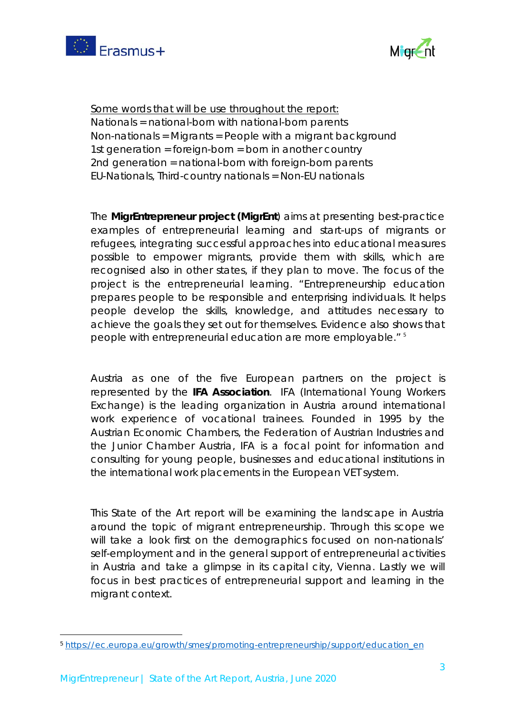



Some words that will be use throughout the report: Nationals = national-born with national-born parents Non-nationals = Migrants = People with a migrant background 1st generation = foreign-born = born in another country 2nd generation = national-born with foreign-born parents EU-Nationals, Third-country nationals = Non-EU nationals

The **MigrEntrepreneur project (MigrEnt**) aims at presenting best-practice examples of entrepreneurial learning and start-ups of migrants or refugees, integrating successful approaches into educational measures possible to empower migrants, provide them with skills, which are recognised also in other states, if they plan to move. The focus of the project is the entrepreneurial learning. "Entrepreneurship education prepares people to be responsible and enterprising individuals. It helps people develop the skills, knowledge, and attitudes necessary to achieve the goals they set out for themselves. Evidence also shows that people with entrepreneurial education are more employable." [5](#page-2-0)

Austria as one of the five European partners on the project is represented by the **IFA Association**. IFA (International Young Workers Exchange) is the leading organization in Austria around international work experience of vocational trainees. Founded in 1995 by the Austrian Economic Chambers, the Federation of Austrian Industries and the Junior Chamber Austria, IFA is a focal point for information and consulting for young people, businesses and educational institutions in the international work placements in the European VET system.

This State of the Art report will be examining the landscape in Austria around the topic of migrant entrepreneurship. Through this scope we will take a look first on the demographics focused on non-nationals' self-employment and in the general support of entrepreneurial activities in Austria and take a glimpse in its capital city, Vienna. Lastly we will focus in best practices of entrepreneurial support and learning in the migrant context.

<span id="page-2-0"></span><sup>5</sup> [https://ec.europa.eu/growth/smes/promoting-entrepreneurship/support/education\\_en](https://ec.europa.eu/growth/smes/promoting-entrepreneurship/support/education_en)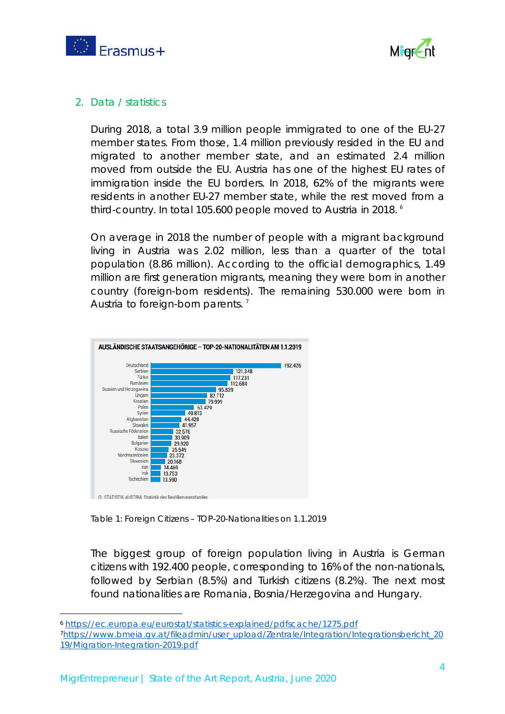



## 2. Data / statistics

During 2018, a total 3.9 million people immigrated to one of the EU-27 member states. From those, 1.4 million previously resided in the EU and migrated to another member state, and an estimated 2.4 million moved from outside the EU. Austria has one of the highest EU rates of immigration inside the EU borders. In 2018, 62% of the migrants were residents in another EU-27 member state, while the rest moved from a third-country. In total 105.600 people moved to Austria in 2018. [6](#page-3-0)

On average in 2018 the number of people with a migrant background living in Austria was 2.02 million, less than a quarter of the total population (8.86 million). According to the official demographics, 1.49 million are first generation migrants, meaning they were born in another country (foreign-born residents). The remaining 530.000 were born in Austria to foreign-born parents.<sup>[7](#page-3-1)</sup>



*Table 1: Foreign Citizens – TOP-20-Nationalities on 1.1.2019*

The biggest group of foreign population living in Austria is German citizens with 192.400 people, corresponding to 16% of the non-nationals, followed by Serbian (8.5%) and Turkish citizens (8.2%). The next most found nationalities are Romania, Bosnia/Herzegovina and Hungary.

<span id="page-3-1"></span><span id="page-3-0"></span><sup>6</sup> <https://ec.europa.eu/eurostat/statistics-explained/pdfscache/1275.pdf> [7https://www.bmeia.gv.at/fileadmin/user\\_upload/Zentrale/Integration/Integrationsbericht\\_20](https://www.bmeia.gv.at/fileadmin/user_upload/Zentrale/Integration/Integrationsbericht_2019/Migration-Integration-2019.pdf) [19/Migration-Integration-2019.pdf](https://www.bmeia.gv.at/fileadmin/user_upload/Zentrale/Integration/Integrationsbericht_2019/Migration-Integration-2019.pdf)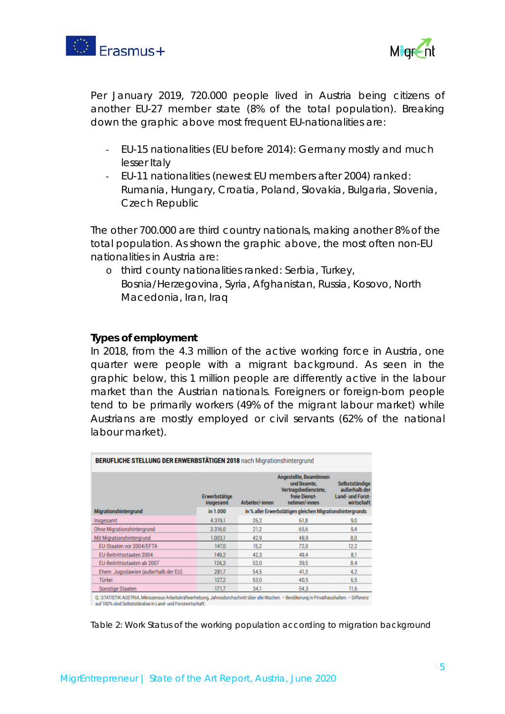



Per January 2019, 720.000 people lived in Austria being citizens of another EU-27 member state (8% of the total population). Breaking down the graphic above most frequent EU-nationalities are:

- EU-15 nationalities (EU before 2014): Germany mostly and much lesser Italy
- EU-11 nationalities (newest EU members after 2004) ranked: Rumania, Hungary, Croatia, Poland, Slovakia, Bulgaria, Slovenia, Czech Republic

The other 700.000 are third country nationals, making another 8% of the total population. As shown the graphic above, the most often non-EU nationalities in Austria are:

o third county nationalities ranked: Serbia, Turkey, Bosnia/Herzegovina, Syria, Afghanistan, Russia, Kosovo, North Macedonia, Iran, Iraq

### **Types of employment**

In 2018, from the 4.3 million of the active working force in Austria, one quarter were people with a migrant background. As seen in the graphic below, this 1 million people are differently active in the labour market than the Austrian nationals. Foreigners or foreign-born people tend to be primarily workers (49% of the migrant labour market) while Austrians are mostly employed or civil servants (62% of the national labour market).

| <b>BERUFLICHE STELLUNG DER ERWERBSTÄTIGEN 2018</b> nach Migrationshintergrund |                            |                 |                                                                                                  |                                                                   |  |
|-------------------------------------------------------------------------------|----------------------------|-----------------|--------------------------------------------------------------------------------------------------|-------------------------------------------------------------------|--|
|                                                                               | Erwerbstätige<br>insgesamt | Arbeiter/-innen | Angestellte, Beamtinnen<br>und Beamte.<br>Vertragsbedienstete,<br>freie Dienst-<br>nehmer/-innen | Selbstständige<br>außerhalb der<br>Land- und Forst-<br>wirtschaft |  |
| Migrationshintergrund                                                         | in 1.000                   |                 | in % aller Erwerbstätigen gleichen Migrationshintergrunds                                        |                                                                   |  |
| Insgesamt                                                                     | 4.319.1                    | 26,2            | 61,8                                                                                             | 9,0                                                               |  |
| Ohne Migrationshintergrund                                                    | 3.316,0                    | 21,2            | 65.6                                                                                             | 9,4                                                               |  |
| Mit Migrationshintergrund                                                     | 1.003.1                    | 42,9            | 48.9                                                                                             | 8.0                                                               |  |
| EU-Staaten vor 2004/EFTA                                                      | 147.0                      | 15.2            | 72.0                                                                                             | 12.2                                                              |  |
| EU-Beitrittsstaaten 2004                                                      | 149.2                      | 42.3            | 49.4                                                                                             | 8.1                                                               |  |
| EU-Beitrittsstaaten ab 2007                                                   | 126.3                      | 52.0            | 39.5                                                                                             | 8,4                                                               |  |
| Ehem. Jugoslawien (außerhalb der EU)                                          | 281,7                      | 54,5            | 41,3                                                                                             | 4.2                                                               |  |
| Türkei                                                                        | 127.2                      | 53.0            | 40.5                                                                                             | 6,5                                                               |  |
| Sonstige Staaten                                                              | 171.7                      | 34.1            | 54.3                                                                                             | 11,6                                                              |  |

auf 100% sind Selbstständige in Land- und Forstwirtschaft

*Table 2: Work Status of the working population according to migration background*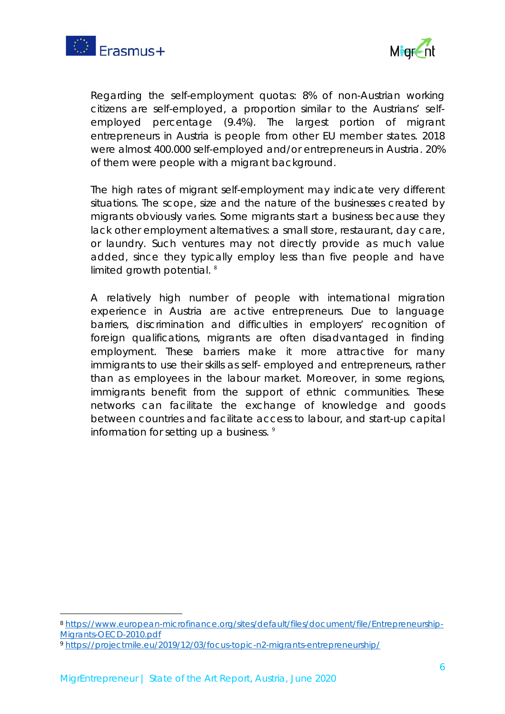



Regarding the self-employment quotas: 8% of non-Austrian working citizens are self-employed, a proportion similar to the Austrians' selfemployed percentage (9.4%). The largest portion of migrant entrepreneurs in Austria is people from other EU member states. 2018 were almost 400.000 self-employed and/or entrepreneurs in Austria. 20% of them were people with a migrant background.

The high rates of migrant self-employment may indicate very different situations. The scope, size and the nature of the businesses created by migrants obviously varies. Some migrants start a business because they lack other employment alternatives: a small store, restaurant, day care, or laundry. Such ventures may not directly provide as much value added, since they typically employ less than five people and have limited growth potential.<sup>[8](#page-5-0)</sup>

A relatively high number of people with international migration experience in Austria are active entrepreneurs. Due to language barriers, discrimination and difficulties in employers' recognition of foreign qualifications, migrants are often disadvantaged in finding employment. These barriers make it more attractive for many immigrants to use their skills as self- employed and entrepreneurs, rather than as employees in the labour market. Moreover, in some regions, immigrants benefit from the support of ethnic communities. These networks can facilitate the exchange of knowledge and goods between countries and facilitate access to labour, and start-up capital information for setting up a business.  $9$ 

<span id="page-5-0"></span><sup>8</sup> [https://www.european-microfinance.org/sites/default/files/document/file/Entrepreneurship-](https://www.european-microfinance.org/sites/default/files/document/file/Entrepreneurship-Migrants-OECD-2010.pdf)[Migrants-OECD-2010.pdf](https://www.european-microfinance.org/sites/default/files/document/file/Entrepreneurship-Migrants-OECD-2010.pdf)

<span id="page-5-1"></span><sup>9</sup> <https://projectmile.eu/2019/12/03/focus-topic-n2-migrants-entrepreneurship/>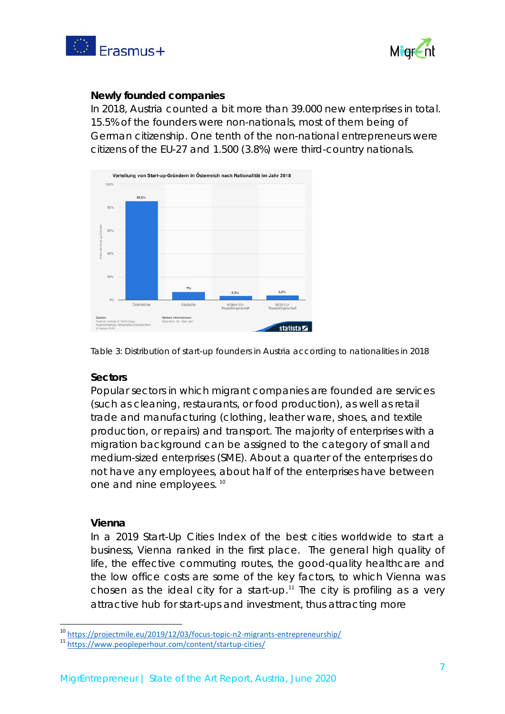



### **Newly founded companies**

In 2018, Austria counted a bit more than 39.000 new enterprises in total. 15.5% of the founders were non-nationals, most of them being of German citizenship. One tenth of the non-national entrepreneurs were citizens of the EU-27 and 1.500 (3.8%) were third-country nationals.



*Table 3: Distribution of start-up founders in Austria according to nationalities in 2018*

## **Sectors**

Popular sectors in which migrant companies are founded are services (such as cleaning, restaurants, or food production), as well as retail trade and manufacturing (clothing, leather ware, shoes, and textile production, or repairs) and transport. The majority of enterprises with a migration background can be assigned to the category of small and medium-sized enterprises (SME). About a quarter of the enterprises do not have any employees, about half of the enterprises have between one and nine employees. [10](#page-6-0)

### **Vienna**

In a 2019 Start-Up Cities Index of the best cities worldwide to start a business, Vienna ranked in the first place. The general high quality of life, the effective commuting routes, the good-quality healthcare and the low office costs are some of the key factors, to which Vienna was chosen as the ideal city for a start-up.<sup>[11](#page-6-1)</sup> The city is profiling as a very attractive hub for start-ups and investment, thus attracting more

<span id="page-6-0"></span><sup>&</sup>lt;sup>10</sup> <https://projectmile.eu/2019/12/03/focus-topic-n2-migrants-entrepreneurship/><br><sup>11</sup> <https://www.peopleperhour.com/content/startup-cities/>

<span id="page-6-1"></span>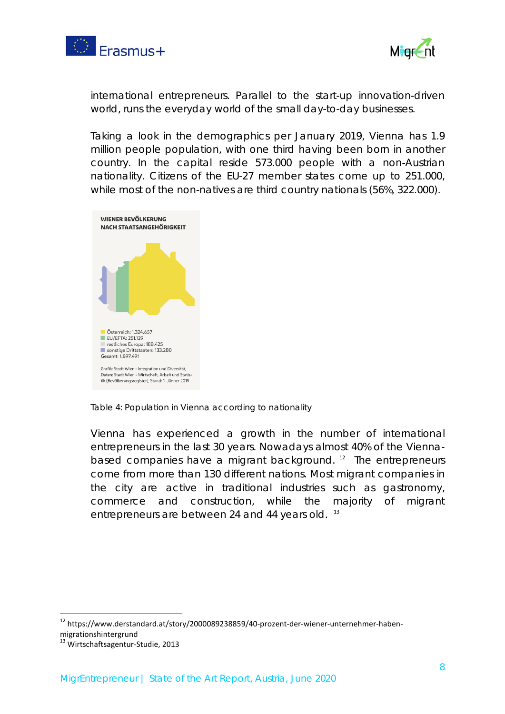



international entrepreneurs. Parallel to the start-up innovation-driven world, runs the everyday world of the small day-to-day businesses.

Taking a look in the demographics per January 2019, Vienna has 1.9 million people population, with one third having been born in another country. In the capital reside 573.000 people with a non-Austrian nationality. Citizens of the EU-27 member states come up to 251.000, while most of the non-natives are third country nationals (56%, 322.000).



*Table 4: Population in Vienna according to nationality*

Vienna has experienced a growth in the number of international entrepreneurs in the last 30 years. Nowadays almost 40% of the Vienna-based companies have a migrant background.<sup>[12](#page-7-0)</sup> The entrepreneurs come from more than 130 different nations. Most migrant companies in the city are active in traditional industries such as gastronomy, commerce and construction, while the majority of migrant entrepreneurs are between 24 and 44 years old.<sup>[13](#page-7-1)</sup>

<span id="page-7-0"></span> <sup>12</sup> https://www.derstandard.at/story/2000089238859/40-prozent-der-wiener-unternehmer-habenmigrationshintergrund

<span id="page-7-1"></span><sup>&</sup>lt;sup>13</sup> Wirtschaftsagentur-Studie, 2013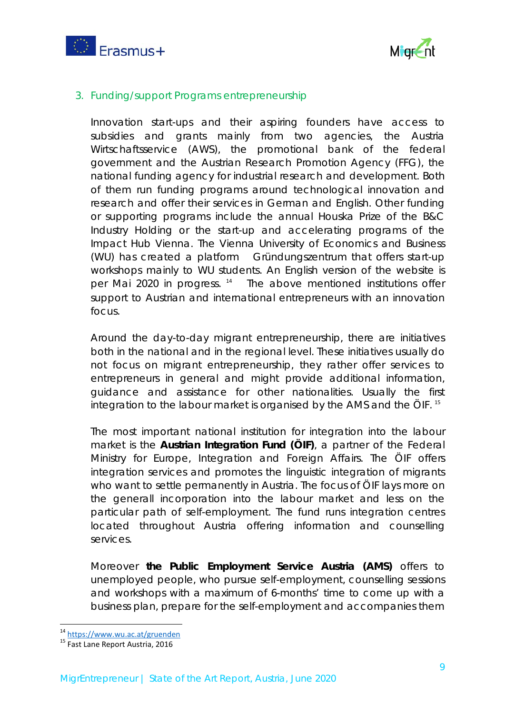



## 3. Funding/support Programs entrepreneurship

Innovation start-ups and their aspiring founders have access to subsidies and grants mainly from two agencies, the Austria Wirtschaftsservice (AWS), the promotional bank of the federal government and the Austrian Research Promotion Agency (FFG), the national funding agency for industrial research and development. Both of them run funding programs around technological innovation and research and offer their services in German and English. Other funding or supporting programs include the annual Houska Prize of the B&C Industry Holding or the start-up and accelerating programs of the Impact Hub Vienna. The Vienna University of Economics and Business (WU) has created a platform Gründungszentrum that offers start-up workshops mainly to WU students. An English version of the website is per Mai 2020 in progress.<sup>[14](#page-8-0)</sup> The above mentioned institutions offer support to Austrian and international entrepreneurs with an innovation focus.

Around the day-to-day migrant entrepreneurship, there are initiatives both in the national and in the regional level. These initiatives usually do not focus on migrant entrepreneurship, they rather offer services to entrepreneurs in general and might provide additional information, guidance and assistance for other nationalities. Usually the first integration to the labour market is organised by the AMS and the ÖIF. [15](#page-8-1)

The most important national institution for integration into the labour market is the **Austrian Integration Fund (ÖIF)**, a partner of the Federal Ministry for Europe, Integration and Foreign Affairs. The ÖIF offers integration services and promotes the linguistic integration of migrants who want to settle permanently in Austria. The focus of ÖIF lays more on the generall incorporation into the labour market and less on the particular path of self-employment. The fund runs integration centres located throughout Austria offering information and counselling services.

Moreover **the Public Employment Service Austria (AMS)** offers to unemployed people, who pursue self-employment, counselling sessions and workshops with a maximum of 6-months' time to come up with a business plan, prepare for the self-employment and accompanies them

<span id="page-8-0"></span><sup>&</sup>lt;sup>14</sup> <https://www.wu.ac.at/gruenden><br><sup>15</sup> Fast Lane Report Austria, 2016

<span id="page-8-1"></span>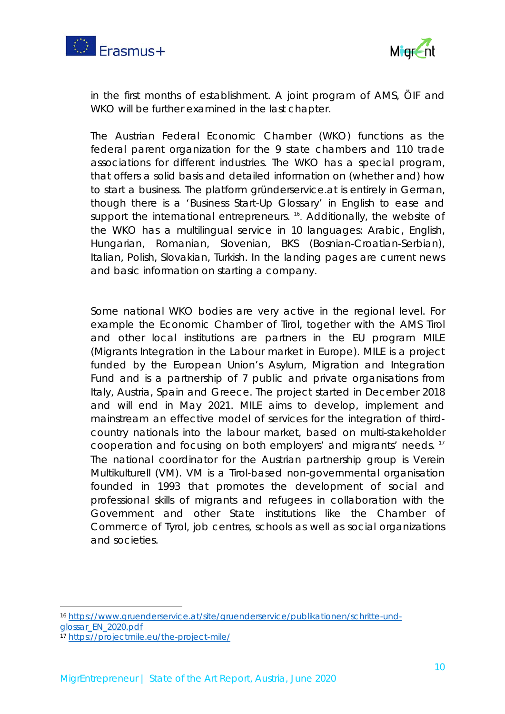



in the first months of establishment. A joint program of AMS, ÖIF and WKO will be further examined in the last chapter.

The *Austrian Federal Economic Chamber (WKO)* functions as the federal parent organization for the 9 state chambers and 110 trade associations for different industries. The WKO has a special program, that offers a solid basis and detailed information on (whether and) how to start a business. The platform gründerservice.at is entirely in German, though there is a 'Business Start-Up Glossary' in English to ease and support the international entrepreneurs.<sup>16</sup>. Additionally, the website of the WKO has a multilingual service in 10 languages: Arabic, English, Hungarian, Romanian, Slovenian, BKS (Bosnian-Croatian-Serbian), Italian, Polish, Slovakian, Turkish. In the landing pages are current news and basic information on starting a company.

Some national WKO bodies are very active in the regional level. For example the Economic Chamber of Tirol, together with the AMS Tirol and other local institutions are partners in the EU program *MILE (Migrants Integration in the Labour market in Europe)*. MILE is a project funded by the European Union's Asylum, Migration and Integration Fund and is a partnership of 7 public and private organisations from Italy, Austria, Spain and Greece. The project started in December 2018 and will end in May 2021. MILE aims to develop, implement and mainstream an effective model of services for the integration of thirdcountry nationals into the labour market, based on multi-stakeholder cooperation and focusing on both employers' and migrants' needs. [17](#page-9-1) The national coordinator for the Austrian partnership group is Verein Multikulturell (VM). VM is a Tirol-based non-governmental organisation founded in 1993 that promotes the development of social and professional skills of migrants and refugees in collaboration with the Government and other State institutions like the Chamber of Commerce of Tyrol, job centres, schools as well as social organizations and societies.

<span id="page-9-0"></span><sup>16</sup> [https://www.gruenderservice.at/site/gruenderservice/publikationen/schritte-und](https://www.gruenderservice.at/site/gruenderservice/publikationen/schritte-und-glossar_EN_2020.pdf)[glossar\\_EN\\_2020.pdf](https://www.gruenderservice.at/site/gruenderservice/publikationen/schritte-und-glossar_EN_2020.pdf)

<span id="page-9-1"></span><sup>17</sup> <https://projectmile.eu/the-project-mile/>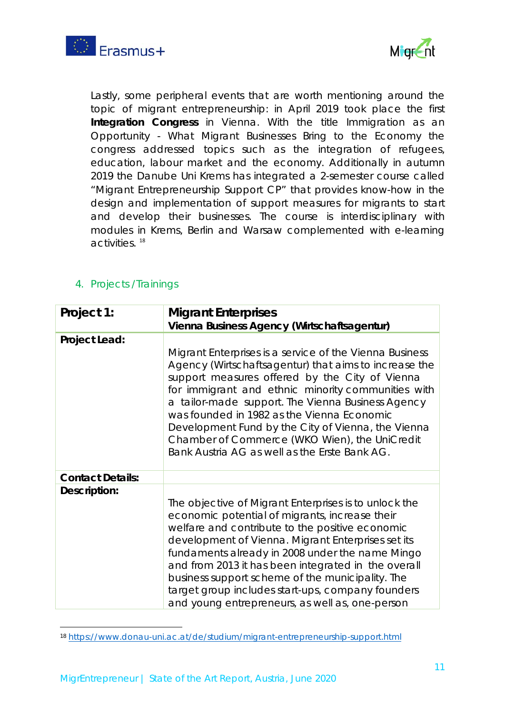



Lastly, some peripheral events that are worth mentioning around the topic of migrant entrepreneurship: in April 2019 took place the first **Integration Congress** in Vienna. With the title *Immigration as an Opportunity - What Migrant Businesses Bring to the Economy* the congress addressed topics such as the integration of refugees, education, labour market and the economy. Additionally in autumn 2019 the Danube Uni Krems has integrated a 2-semester course called "Migrant Entrepreneurship Support CP" that provides know-how in the design and implementation of support measures for migrants to start and develop their businesses. The course is interdisciplinary with modules in Krems, Berlin and Warsaw complemented with e-learning activities. [18](#page-10-0)

# 4. Projects /Trainings

| Project 1:              | <b>Migrant Enterprises</b><br>Vienna Business Agency (Wirtschaftsagentur)                                                                                                                                                                                                                                                                                                                                                                                                              |
|-------------------------|----------------------------------------------------------------------------------------------------------------------------------------------------------------------------------------------------------------------------------------------------------------------------------------------------------------------------------------------------------------------------------------------------------------------------------------------------------------------------------------|
| Project Lead:           | Migrant Enterprises is a service of the Vienna Business<br>Agency (Wirtschaftsagentur) that aims to increase the<br>support measures offered by the City of Vienna<br>for immigrant and ethnic minority communities with<br>a tailor-made support. The Vienna Business Agency<br>was founded in 1982 as the Vienna Economic<br>Development Fund by the City of Vienna, the Vienna<br>Chamber of Commerce (WKO Wien), the UniCredit<br>Bank Austria AG as well as the Erste Bank AG.    |
| <b>Contact Details:</b> |                                                                                                                                                                                                                                                                                                                                                                                                                                                                                        |
| Description:            | The objective of Migrant Enterprises is to unlock the<br>economic potential of migrants, increase their<br>welfare and contribute to the positive economic<br>development of Vienna. Migrant Enterprises set its<br>fundaments already in 2008 under the name Mingo<br>and from 2013 it has been integrated in the overall<br>business support scheme of the municipality. The<br>target group includes start-ups, company founders<br>and young entrepreneurs, as well as, one-person |

<span id="page-10-0"></span><sup>18</sup> <https://www.donau-uni.ac.at/de/studium/migrant-entrepreneurship-support.html>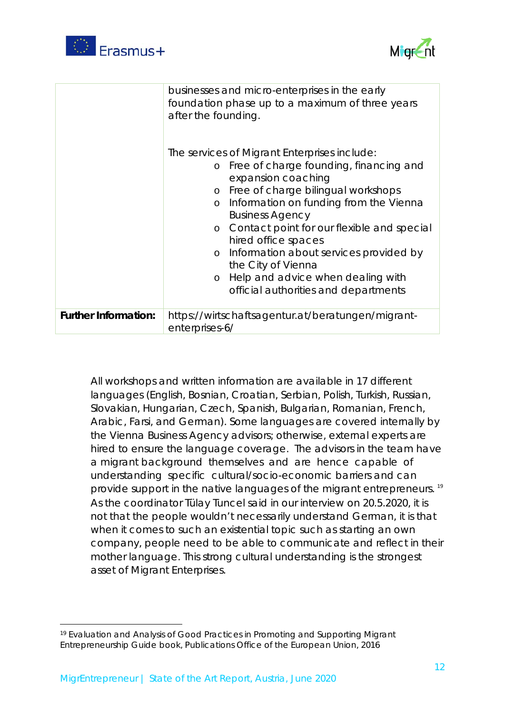



|                             | businesses and micro-enterprises in the early<br>foundation phase up to a maximum of three years<br>after the founding.<br>The services of Migrant Enterprises include:<br>o Free of charge founding, financing and<br>expansion coaching<br>o Free of charge bilingual workshops<br>Information on funding from the Vienna<br>$\circ$<br><b>Business Agency</b><br>Contact point for our flexible and special<br>$\circ$<br>hired office spaces<br>o Information about services provided by<br>the City of Vienna<br>o Help and advice when dealing with<br>official authorities and departments |
|-----------------------------|---------------------------------------------------------------------------------------------------------------------------------------------------------------------------------------------------------------------------------------------------------------------------------------------------------------------------------------------------------------------------------------------------------------------------------------------------------------------------------------------------------------------------------------------------------------------------------------------------|
| <b>Further Information:</b> | https://wirtschaftsagentur.at/beratungen/migrant-<br>enterprises-6/                                                                                                                                                                                                                                                                                                                                                                                                                                                                                                                               |

All workshops and written information are available in 17 different languages (English, Bosnian, Croatian, Serbian, Polish, Turkish, Russian, Slovakian, Hungarian, Czech, Spanish, Bulgarian, Romanian, French, Arabic, Farsi, and German). Some languages are covered internally by the Vienna Business Agency advisors; otherwise, external experts are hired to ensure the language coverage. The advisors in the team have a migrant background themselves and are hence capable of understanding specific cultural/socio-economic barriers and can provide support in the native languages of the migrant entrepreneurs.<sup>[19](#page-11-0)</sup> As the coordinator Tülay Tuncel said in our interview on 20.5.2020, it is not that the people wouldn't necessarily understand German, it is that when it comes to such an existential topic such as starting an own company, people need to be able to communicate and reflect in their mother language. This strong cultural understanding is the strongest asset of Migrant Enterprises.

l

<span id="page-11-0"></span><sup>19</sup> Evaluation and Analysis of Good Practices in Promoting and Supporting Migrant Entrepreneurship Guide book, Publications Office of the European Union, 2016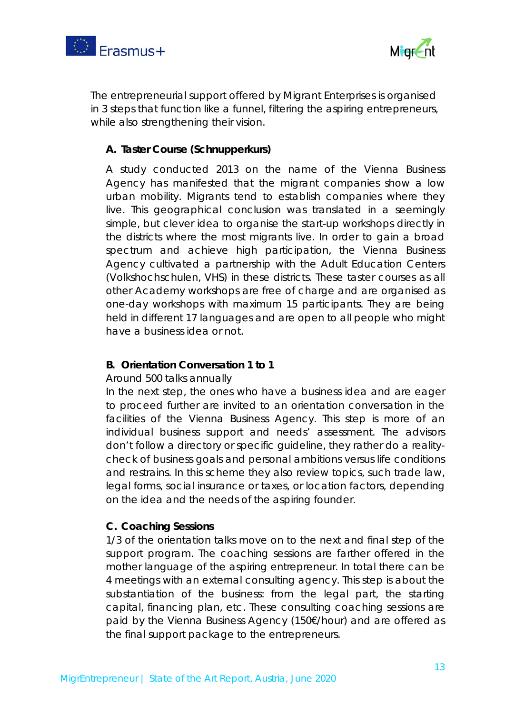



The entrepreneurial support offered by Migrant Enterprises is organised in 3 steps that function like a funnel, filtering the aspiring entrepreneurs, while also strengthening their vision.

# **A. Taster Course (Schnupperkurs)**

A study conducted 2013 on the name of the Vienna Business Agency has manifested that the migrant companies show a low urban mobility. Migrants tend to establish companies where they live. This geographical conclusion was translated in a seemingly simple, but clever idea to organise the start-up workshops directly in the districts where the most migrants live. In order to gain a broad spectrum and achieve high participation, the Vienna Business Agency cultivated a partnership with the Adult Education Centers (Volkshochschulen, VHS) in these districts. These taster courses as all other Academy workshops are free of charge and are organised as one-day workshops with maximum 15 participants. They are being held in different 17 languages and are open to all people who might have a business idea or not.

# **B. Orientation Conversation 1 to 1**

# Around 500 talks annually

In the next step, the ones who have a business idea and are eager to proceed further are invited to an orientation conversation in the facilities of the Vienna Business Agency. This step is more of an individual business support and needs' assessment. The advisors don't follow a directory or specific guideline, they rather do a realitycheck of business goals and personal ambitions versus life conditions and restrains. In this scheme they also review topics, such trade law, legal forms, social insurance or taxes, or location factors, depending on the idea and the needs of the aspiring founder.

# **C. Coaching Sessions**

1/3 of the orientation talks move on to the next and final step of the support program. The coaching sessions are farther offered in the mother language of the aspiring entrepreneur. In total there can be 4 meetings with an external consulting agency. This step is about the substantiation of the business: from the legal part, the starting capital, financing plan, etc. These consulting coaching sessions are paid by the Vienna Business Agency (150€/hour) and are offered as the final support package to the entrepreneurs.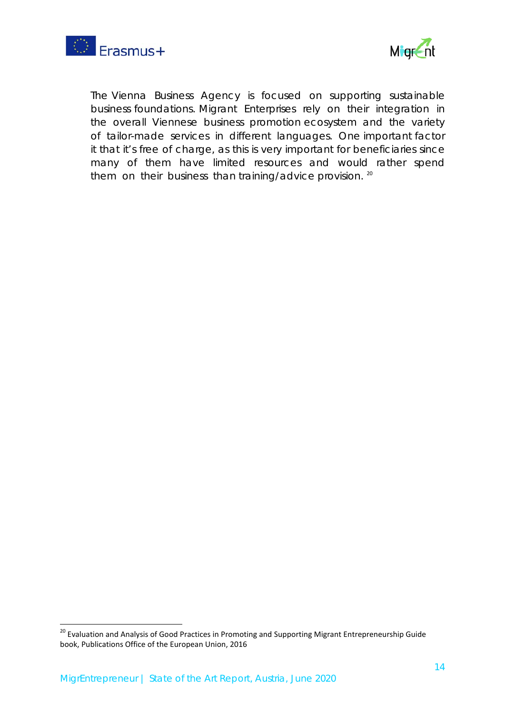



The Vienna Business Agency is focused on supporting sustainable business foundations. Migrant Enterprises rely on their integration in the overall Viennese business promotion ecosystem and the variety of tailor-made services in different languages. One important factor it that it's free of charge, as this is very important for beneficiaries since many of them have limited resources and would rather spend them on their business than training/advice provision. <sup>[20](#page-13-0)</sup>

<span id="page-13-0"></span><sup>&</sup>lt;sup>20</sup> Evaluation and Analysis of Good Practices in Promoting and Supporting Migrant Entrepreneurship Guide book, Publications Office of the European Union, 2016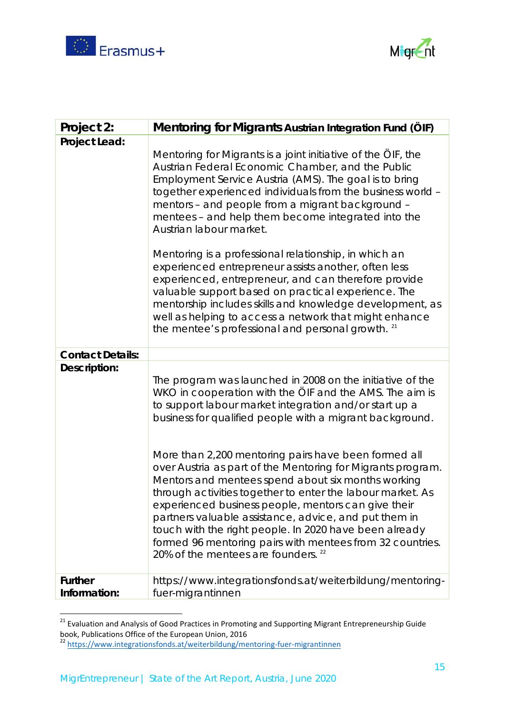



| Project 2:                     | Mentoring for Migrants Austrian Integration Fund (ÖIF)                                                                                                                                                                                                                                                                                                                                                                                                                                                                                                                                                                                                                                                                                                                                               |
|--------------------------------|------------------------------------------------------------------------------------------------------------------------------------------------------------------------------------------------------------------------------------------------------------------------------------------------------------------------------------------------------------------------------------------------------------------------------------------------------------------------------------------------------------------------------------------------------------------------------------------------------------------------------------------------------------------------------------------------------------------------------------------------------------------------------------------------------|
| <b>Project Lead:</b>           | Mentoring for Migrants is a joint initiative of the OIF, the<br>Austrian Federal Economic Chamber, and the Public<br>Employment Service Austria (AMS). The goal is to bring<br>together experienced individuals from the business world -<br>mentors - and people from a migrant background -<br>mentees - and help them become integrated into the<br>Austrian labour market.<br>Mentoring is a professional relationship, in which an<br>experienced entrepreneur assists another, often less<br>experienced, entrepreneur, and can therefore provide<br>valuable support based on practical experience. The<br>mentorship includes skills and knowledge development, as<br>well as helping to access a network that might enhance<br>the mentee's professional and personal growth. <sup>21</sup> |
| <b>Contact Details:</b>        |                                                                                                                                                                                                                                                                                                                                                                                                                                                                                                                                                                                                                                                                                                                                                                                                      |
| Description:                   | The program was launched in 2008 on the initiative of the<br>WKO in cooperation with the ÖIF and the AMS. The aim is<br>to support labour market integration and/or start up a<br>business for qualified people with a migrant background.<br>More than 2,200 mentoring pairs have been formed all<br>over Austria as part of the Mentoring for Migrants program.<br>Mentors and mentees spend about six months working<br>through activities together to enter the labour market. As<br>experienced business people, mentors can give their<br>partners valuable assistance, advice, and put them in<br>touch with the right people. In 2020 have been already<br>formed 96 mentoring pairs with mentees from 32 countries.<br>20% of the mentees are founders. 22                                  |
| <b>Further</b><br>Information: | https://www.integrationsfonds.at/weiterbildung/mentoring-<br>fuer-migrantinnen                                                                                                                                                                                                                                                                                                                                                                                                                                                                                                                                                                                                                                                                                                                       |

<span id="page-14-0"></span> <sup>21</sup> Evaluation and Analysis of Good Practices in Promoting and Supporting Migrant Entrepreneurship Guide book, Publications Office of the European Union, 2016

<span id="page-14-1"></span><sup>&</sup>lt;sup>22</sup> <https://www.integrationsfonds.at/weiterbildung/mentoring-fuer-migrantinnen>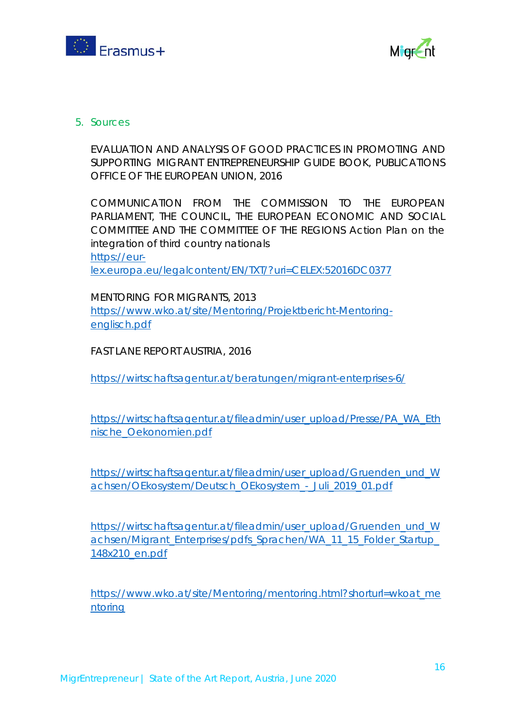



### 5. Sources

EVALUATION AND ANALYSIS OF GOOD PRACTICES IN PROMOTING AND SUPPORTING MIGRANT ENTREPRENEURSHIP GUIDE BOOK, PUBLICATIONS OFFICE OF THE EUROPEAN UNION, 2016

COMMUNICATION FROM THE COMMISSION TO THE EUROPEAN PARLIAMENT, THE COUNCIL, THE EUROPEAN ECONOMIC AND SOCIAL COMMITTEE AND THE COMMITTEE OF THE REGIONS Action Plan on the integration of third country nationals [https://eur](https://eur-lex.europa.eu/legalcontent/EN/TXT/?uri=CELEX:52016DC0377)[lex.europa.eu/legalcontent/EN/TXT/?uri=CELEX:52016DC0377](https://eur-lex.europa.eu/legalcontent/EN/TXT/?uri=CELEX:52016DC0377)

MENTORING FOR MIGRANTS, 2013 [https://www.wko.at/site/Mentoring/Projektbericht-Mentoring](https://www.wko.at/site/Mentoring/Projektbericht-Mentoring-englisch.pdf)[englisch.pdf](https://www.wko.at/site/Mentoring/Projektbericht-Mentoring-englisch.pdf)

FAST LANE REPORT AUSTRIA, 2016

<https://wirtschaftsagentur.at/beratungen/migrant-enterprises-6/>

[https://wirtschaftsagentur.at/fileadmin/user\\_upload/Presse/PA\\_WA\\_Eth](https://wirtschaftsagentur.at/fileadmin/user_upload/Presse/PA_WA_Ethnische_Oekonomien.pdf) [nische\\_Oekonomien.pdf](https://wirtschaftsagentur.at/fileadmin/user_upload/Presse/PA_WA_Ethnische_Oekonomien.pdf)

[https://wirtschaftsagentur.at/fileadmin/user\\_upload/Gruenden\\_und\\_W](https://wirtschaftsagentur.at/fileadmin/user_upload/Gruenden_und_Wachsen/OEkosystem/Deutsch_OEkosystem_-_Juli_2019_01.pdf) [achsen/OEkosystem/Deutsch\\_OEkosystem\\_-\\_Juli\\_2019\\_01.pdf](https://wirtschaftsagentur.at/fileadmin/user_upload/Gruenden_und_Wachsen/OEkosystem/Deutsch_OEkosystem_-_Juli_2019_01.pdf)

[https://wirtschaftsagentur.at/fileadmin/user\\_upload/Gruenden\\_und\\_W](https://wirtschaftsagentur.at/fileadmin/user_upload/Gruenden_und_Wachsen/Migrant_Enterprises/pdfs_Sprachen/WA_11_15_Folder_Startup_148x210_en.pdf) achsen/Migrant Enterprises/pdfs Sprachen/WA 11\_15\_Folder Startup [148x210\\_en.pdf](https://wirtschaftsagentur.at/fileadmin/user_upload/Gruenden_und_Wachsen/Migrant_Enterprises/pdfs_Sprachen/WA_11_15_Folder_Startup_148x210_en.pdf)

[https://www.wko.at/site/Mentoring/mentoring.html?shorturl=wkoat\\_me](https://www.wko.at/site/Mentoring/mentoring.html?shorturl=wkoat_mentoring) [ntoring](https://www.wko.at/site/Mentoring/mentoring.html?shorturl=wkoat_mentoring)